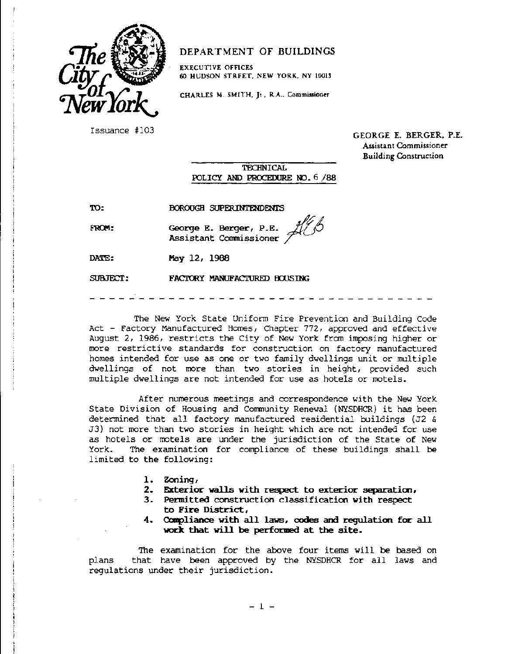

## DEPARTMENT OF BUILDINGS

EXECUTIVE OffiCES 60 HUDSON STRFET, NEW YORK, NY 10013

CHARLES M. SMITH, Jr., R.A., Commissioner

Issuance #103 GEORGE E. BERGER, P.E. Assistant Commissioner Building Construction

> TECHNICAL POLICY AND PROCEDURE NO. 6 /88

TO:

BOROUGH SUPERINTENDENTS

FROM:

*George E. Berger, P.E.*<br>Assistant Commissioner <sup>5</sup>

FACTORY MANUFACTURED HOUSING

DATE: May 12, 1988

SUBJECT:

The New York State Uniform Fire Prevention and Building Code Act - Factory Manufactured Homes, Chapter 772, approved and effective August 2, 1986, *restricts* the City of New York from imposing *higher* or more *restrictive* standards for construction on factory manufactured homes intended for use as one or two family dwellings unit or multiple dwellings of not more than two stories in height, provided such multiple dwellings are not intended for use as hotels or motels.

After numerous meetings and correspondence with the New York State Division of Housing and Community Renewal (NYSDHCR) it has been determined that all factory manufactured residential buildings (J2 & J3) not more than two stories in height which are not intended for use as hotels or motels are under the jurisdiction of the State of New York. The examination for compliance of these buildings shall be limited to the following:

- 1. Zoning,
- 2. Exterior walls with respect to exterior separation,
- 3. Permitted construction classification with respect to Fire District,
- 4. Compliance with all laws, codes and regulation for all work that will be performed at the site.

The examination for the above four items will be based on plans that have been approved by the NYSDHCR for all laws and regulations under their jurisdiction.